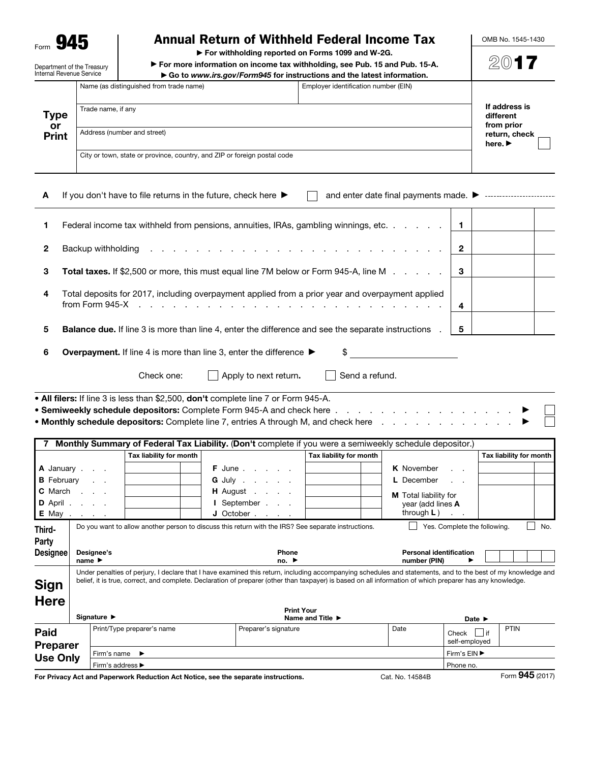Form 945

Department of the Treasury

### Annual Return of Withheld Federal Income Tax

▶ For withholding reported on Forms 1099 and W-2G.

▶ For more information on income tax withholding, see Pub. 15 and Pub. 15-A. ▶ Go to *www.irs.gov/Form945* for instructions and the latest information.

| Internal Revenue Service   |                                                                          | $\triangleright$ Go to www.irs.gov/Form945 for instructions and the latest information. |  |                                                            |
|----------------------------|--------------------------------------------------------------------------|-----------------------------------------------------------------------------------------|--|------------------------------------------------------------|
| Type<br>or<br><b>Print</b> | Name (as distinguished from trade name)                                  |                                                                                         |  |                                                            |
|                            | Trade name, if any                                                       | If address is<br>different                                                              |  |                                                            |
|                            | Address (number and street)                                              |                                                                                         |  | from prior<br>return, check<br>here. $\blacktriangleright$ |
|                            | City or town, state or province, country, and ZIP or foreign postal code |                                                                                         |  |                                                            |

| A If you don't have to file returns in the future, check here $\blacktriangleright$ | and enter date final payments made. $\blacktriangleright$ |  |  |
|-------------------------------------------------------------------------------------|-----------------------------------------------------------|--|--|
|                                                                                     |                                                           |  |  |

|              | Federal income tax withheld from pensions, annuities, IRAs, gambling winnings, etc.   1                                                                                                                                        |             |  |
|--------------|--------------------------------------------------------------------------------------------------------------------------------------------------------------------------------------------------------------------------------|-------------|--|
| $\mathbf{2}$ | Backup withholding reserves to the contract of the contract of the contract of the contract of the contract of the contract of the contract of the contract of the contract of the contract of the contract of the contract of | $\mathbf 2$ |  |
| 3            | Total taxes. If \$2,500 or more, this must equal line 7M below or Form 945-A, line M                                                                                                                                           | 3           |  |
| 4            | Total deposits for 2017, including overpayment applied from a prior year and overpayment applied                                                                                                                               | 4           |  |
| 5            | <b>Balance due.</b> If line 3 is more than line 4, enter the difference and see the separate instructions.                                                                                                                     | 5           |  |
| 6            | \$<br><b>Overpayment.</b> If line 4 is more than line 3, enter the difference $\blacktriangleright$                                                                                                                            |             |  |
|              | Send a refund.<br>Apply to next return.<br>Check one:                                                                                                                                                                          |             |  |

• All filers: If line 3 is less than \$2,500, don't complete line 7 or Form 945-A. • Semiweekly schedule depositors: Complete Form 945-A and check here . . . . . . . • Monthly schedule depositors: Complete line 7, entries A through M, and check here . . .

|                 |                                                                                                                                                           |                            | Monthly Summary of Federal Tax Liability. (Don't complete if you were a semiweekly schedule depositor.)                                                      |                         |                                |                              |                         |
|-----------------|-----------------------------------------------------------------------------------------------------------------------------------------------------------|----------------------------|--------------------------------------------------------------------------------------------------------------------------------------------------------------|-------------------------|--------------------------------|------------------------------|-------------------------|
|                 |                                                                                                                                                           | Tax liability for month    |                                                                                                                                                              | Tax liability for month |                                |                              | Tax liability for month |
|                 | A January                                                                                                                                                 |                            | <b>F</b> June                                                                                                                                                |                         | <b>K</b> November              | $\sim$                       |                         |
|                 | <b>B</b> February                                                                                                                                         |                            | <b>G</b> July                                                                                                                                                |                         | L December                     | $\sim$ $\sim$                |                         |
| <b>C</b> March  |                                                                                                                                                           |                            | <b>H</b> August                                                                                                                                              |                         | <b>M</b> Total liability for   |                              |                         |
|                 | D April                                                                                                                                                   |                            | I September                                                                                                                                                  |                         | year (add lines A              |                              |                         |
|                 | <b>E</b> May                                                                                                                                              |                            | J October                                                                                                                                                    |                         | through $L$ )                  |                              |                         |
| Third-          |                                                                                                                                                           |                            | Do you want to allow another person to discuss this return with the IRS? See separate instructions.                                                          |                         |                                | Yes. Complete the following. | No.                     |
| <b>Party</b>    |                                                                                                                                                           |                            |                                                                                                                                                              |                         |                                |                              |                         |
| <b>Designee</b> | Designee's                                                                                                                                                |                            | Phone                                                                                                                                                        |                         | <b>Personal identification</b> |                              |                         |
|                 | name $\blacktriangleright$                                                                                                                                |                            | no.                                                                                                                                                          |                         | number (PIN)                   |                              |                         |
|                 |                                                                                                                                                           |                            | Under penalties of perjury, I declare that I have examined this return, including accompanying schedules and statements, and to the best of my knowledge and |                         |                                |                              |                         |
| Sign            | belief, it is true, correct, and complete. Declaration of preparer (other than taxpayer) is based on all information of which preparer has any knowledge. |                            |                                                                                                                                                              |                         |                                |                              |                         |
| <b>Here</b>     |                                                                                                                                                           |                            |                                                                                                                                                              |                         |                                |                              |                         |
|                 |                                                                                                                                                           |                            | <b>Print Your</b>                                                                                                                                            |                         |                                |                              |                         |
|                 | Signature $\blacktriangleright$                                                                                                                           |                            |                                                                                                                                                              | Name and Title ▶        |                                | Date $\blacktriangleright$   |                         |
| Paid            |                                                                                                                                                           | Print/Type preparer's name | Preparer's signature                                                                                                                                         |                         | Date                           | l lif<br>Check               | PTIN                    |
| <b>Preparer</b> |                                                                                                                                                           |                            |                                                                                                                                                              |                         |                                | self-employed                |                         |
| <b>Use Only</b> | Firm's name                                                                                                                                               | $\blacktriangleright$      |                                                                                                                                                              |                         |                                | Firm's EIN ▶                 |                         |
|                 | Firm's address ▶                                                                                                                                          |                            |                                                                                                                                                              |                         |                                | Phone no.                    |                         |

For Privacy Act and Paperwork Reduction Act Notice, see the separate instructions. Cat. No. 14584B Form 945 (2017)

OMB No. 1545-1430 2017